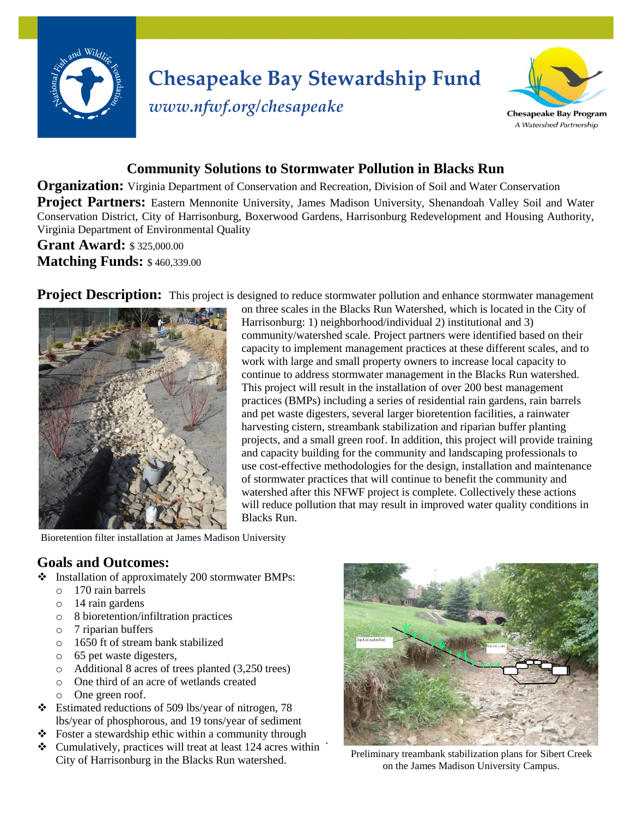

# **Chesapeake Bay Stewardship Fund**



## *www.nfwf.org/chesapeake*

### **Community Solutions to Stormwater Pollution in Blacks Run**

**Organization:** Virginia Department of Conservation and Recreation, Division of Soil and Water Conservation **Project Partners:** Eastern Mennonite University, James Madison University, Shenandoah Valley Soil and Water Conservation District, City of Harrisonburg, Boxerwood Gardens, Harrisonburg Redevelopment and Housing Authority, Virginia Department of Environmental Quality

**Grant Award:** \$325,000.00 **Matching Funds:** \$460,339.00

**Project Description:** This project is designed to reduce stormwater pollution and enhance stormwater management



on three scales in the Blacks Run Watershed, which is located in the City of Harrisonburg: 1) neighborhood/individual 2) institutional and 3) community/watershed scale. Project partners were identified based on their capacity to implement management practices at these different scales, and to work with large and small property owners to increase local capacity to continue to address stormwater management in the Blacks Run watershed. This project will result in the installation of over 200 best management practices (BMPs) including a series of residential rain gardens, rain barrels and pet waste digesters, several larger bioretention facilities, a rainwater harvesting cistern, streambank stabilization and riparian buffer planting projects, and a small green roof. In addition, this project will provide training and capacity building for the community and landscaping professionals to use cost-effective methodologies for the design, installation and maintenance of stormwater practices that will continue to benefit the community and watershed after this NFWF project is complete. Collectively these actions will reduce pollution that may result in improved water quality conditions in Blacks Run.

Bioretention filter installation at James Madison University

#### **Goals and Outcomes:**

- $\div$  Installation of approximately 200 stormwater BMPs:
	- o 170 rain barrels
	- o 14 rain gardens
	- o 8 bioretention/infiltration practices
	- o 7 riparian buffers
	- o 1650 ft of stream bank stabilized
	- o 65 pet waste digesters,
	- o Additional 8 acres of trees planted (3,250 trees)
	- o One third of an acre of wetlands created
	- o One green roof.
- Estimated reductions of 509 lbs/year of nitrogen, 78 lbs/year of phosphorous, and 19 tons/year of sediment
- $\triangle$  Foster a stewardship ethic within a community through
- $\div$  Cumulatively, practices will treat at least 124 acres within City of Harrisonburg in the Blacks Run watershed.



Preliminary treambank stabilization plans for Sibert Creek on the James Madison University Campus.